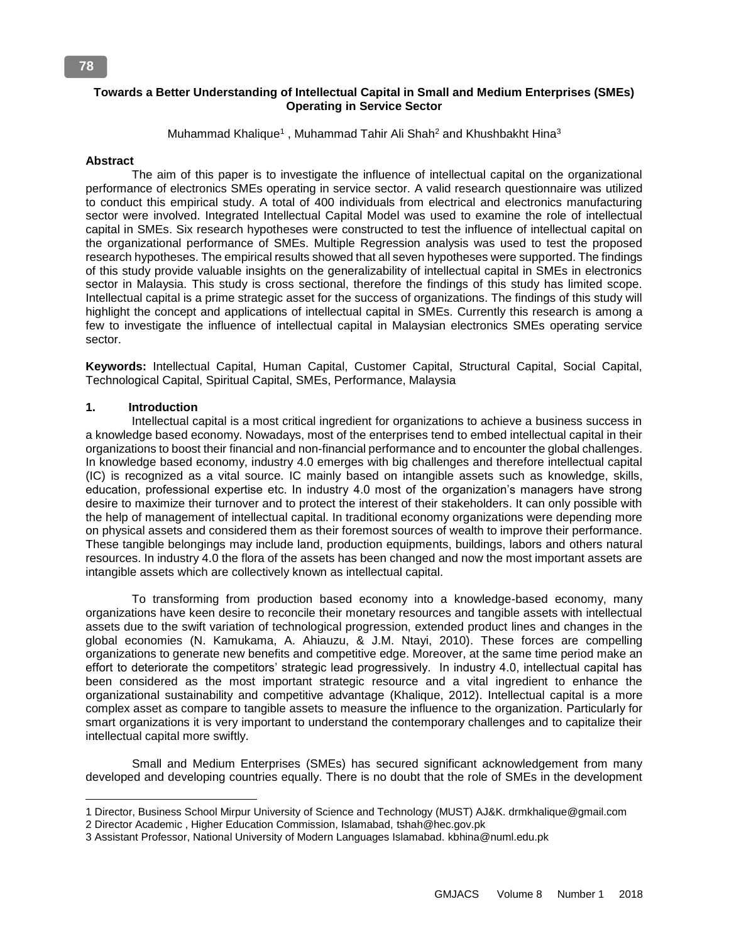## **Towards a Better Understanding of Intellectual Capital in Small and Medium Enterprises (SMEs) Operating in Service Sector**

Muhammad Khalique<sup>1</sup>, Muhammad Tahir Ali Shah<sup>2</sup> and Khushbakht Hina<sup>3</sup>

#### **Abstract**

 The aim of this paper is to investigate the influence of intellectual capital on the organizational performance of electronics SMEs operating in service sector. A valid research questionnaire was utilized to conduct this empirical study. A total of 400 individuals from electrical and electronics manufacturing sector were involved. Integrated Intellectual Capital Model was used to examine the role of intellectual capital in SMEs. Six research hypotheses were constructed to test the influence of intellectual capital on the organizational performance of SMEs. Multiple Regression analysis was used to test the proposed research hypotheses. The empirical results showed that all seven hypotheses were supported. The findings of this study provide valuable insights on the generalizability of intellectual capital in SMEs in electronics sector in Malaysia. This study is cross sectional, therefore the findings of this study has limited scope. Intellectual capital is a prime strategic asset for the success of organizations. The findings of this study will highlight the concept and applications of intellectual capital in SMEs. Currently this research is among a few to investigate the influence of intellectual capital in Malaysian electronics SMEs operating service sector.

**Keywords:** Intellectual Capital, Human Capital, Customer Capital, Structural Capital, Social Capital, Technological Capital, Spiritual Capital, SMEs, Performance, Malaysia

## **1. Introduction**

 $\overline{a}$ 

 Intellectual capital is a most critical ingredient for organizations to achieve a business success in a knowledge based economy. Nowadays, most of the enterprises tend to embed intellectual capital in their organizations to boost their financial and non-financial performance and to encounter the global challenges. In knowledge based economy, industry 4.0 emerges with big challenges and therefore intellectual capital (IC) is recognized as a vital source. IC mainly based on intangible assets such as knowledge, skills, education, professional expertise etc. In industry 4.0 most of the organization's managers have strong desire to maximize their turnover and to protect the interest of their stakeholders. It can only possible with the help of management of intellectual capital. In traditional economy organizations were depending more on physical assets and considered them as their foremost sources of wealth to improve their performance. These tangible belongings may include land, production equipments, buildings, labors and others natural resources. In industry 4.0 the flora of the assets has been changed and now the most important assets are intangible assets which are collectively known as intellectual capital.

 To transforming from production based economy into a knowledge-based economy, many organizations have keen desire to reconcile their monetary resources and tangible assets with intellectual assets due to the swift variation of technological progression, extended product lines and changes in the global economies (N. Kamukama, A. Ahiauzu, & J.M. Ntayi, 2010). These forces are compelling organizations to generate new benefits and competitive edge. Moreover, at the same time period make an effort to deteriorate the competitors' strategic lead progressively. In industry 4.0, intellectual capital has been considered as the most important strategic resource and a vital ingredient to enhance the organizational sustainability and competitive advantage (Khalique, 2012). Intellectual capital is a more complex asset as compare to tangible assets to measure the influence to the organization. Particularly for smart organizations it is very important to understand the contemporary challenges and to capitalize their intellectual capital more swiftly.

 Small and Medium Enterprises (SMEs) has secured significant acknowledgement from many developed and developing countries equally. There is no doubt that the role of SMEs in the development

<sup>1</sup> Director, Business School Mirpur University of Science and Technology (MUST) AJ&K. drmkhalique@gmail.com

<sup>2</sup> Director Academic , Higher Education Commission, Islamabad, tshah@hec.gov.pk

<sup>3</sup> Assistant Professor, National University of Modern Languages Islamabad. kbhina@numl.edu.pk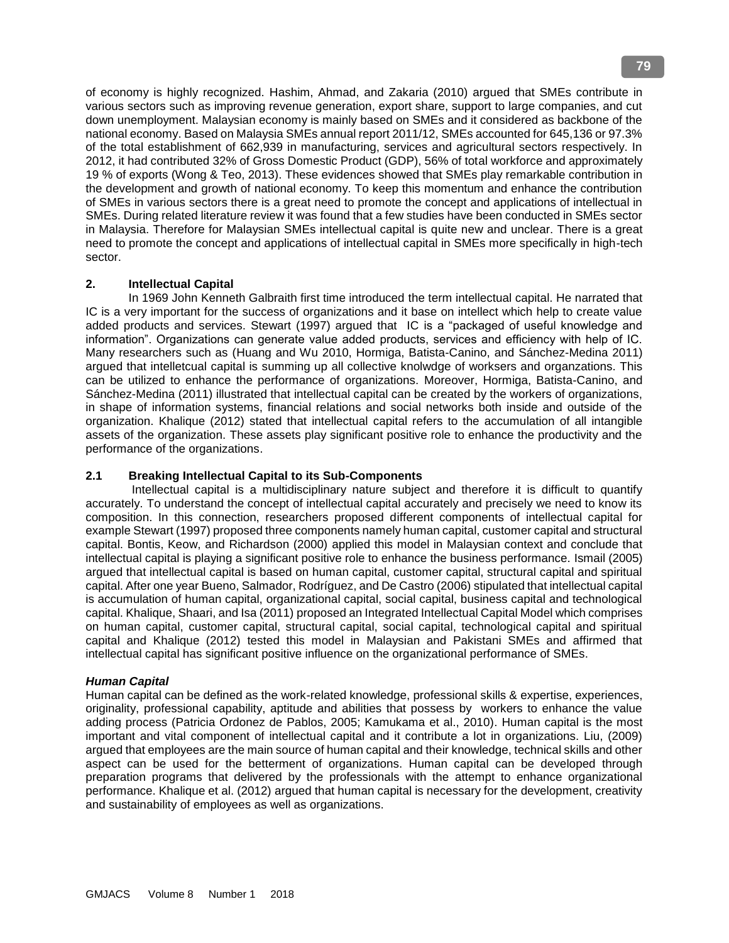of economy is highly recognized. Hashim, Ahmad, and Zakaria (2010) argued that SMEs contribute in various sectors such as improving revenue generation, export share, support to large companies, and cut down unemployment. Malaysian economy is mainly based on SMEs and it considered as backbone of the national economy. Based on Malaysia SMEs annual report 2011/12, SMEs accounted for 645,136 or 97.3% of the total establishment of 662,939 in manufacturing, services and agricultural sectors respectively. In 2012, it had contributed 32% of Gross Domestic Product (GDP), 56% of total workforce and approximately 19 % of exports (Wong & Teo, 2013). These evidences showed that SMEs play remarkable contribution in the development and growth of national economy. To keep this momentum and enhance the contribution of SMEs in various sectors there is a great need to promote the concept and applications of intellectual in SMEs. During related literature review it was found that a few studies have been conducted in SMEs sector in Malaysia. Therefore for Malaysian SMEs intellectual capital is quite new and unclear. There is a great need to promote the concept and applications of intellectual capital in SMEs more specifically in high-tech sector.

## **2. Intellectual Capital**

 In 1969 John Kenneth Galbraith first time introduced the term intellectual capital. He narrated that IC is a very important for the success of organizations and it base on intellect which help to create value added products and services. Stewart (1997) argued that IC is a "packaged of useful knowledge and information". Organizations can generate value added products, services and efficiency with help of IC. Many researchers such as (Huang and Wu 2010, Hormiga, Batista-Canino, and Sánchez-Medina 2011) argued that intelletcual capital is summing up all collective knolwdge of worksers and organzations. This can be utilized to enhance the performance of organizations. Moreover, Hormiga, Batista-Canino, and Sánchez-Medina (2011) illustrated that intellectual capital can be created by the workers of organizations, in shape of information systems, financial relations and social networks both inside and outside of the organization. Khalique (2012) stated that intellectual capital refers to the accumulation of all intangible assets of the organization. These assets play significant positive role to enhance the productivity and the performance of the organizations.

## **2.1 Breaking Intellectual Capital to its Sub-Components**

 Intellectual capital is a multidisciplinary nature subject and therefore it is difficult to quantify accurately. To understand the concept of intellectual capital accurately and precisely we need to know its composition. In this connection, researchers proposed different components of intellectual capital for example Stewart (1997) proposed three components namely human capital, customer capital and structural capital. Bontis, Keow, and Richardson (2000) applied this model in Malaysian context and conclude that intellectual capital is playing a significant positive role to enhance the business performance. Ismail (2005) argued that intellectual capital is based on human capital, customer capital, structural capital and spiritual capital. After one year Bueno, Salmador, Rodríguez, and De Castro (2006) stipulated that intellectual capital is accumulation of human capital, organizational capital, social capital, business capital and technological capital. Khalique, Shaari, and Isa (2011) proposed an Integrated Intellectual Capital Model which comprises on human capital, customer capital, structural capital, social capital, technological capital and spiritual capital and Khalique (2012) tested this model in Malaysian and Pakistani SMEs and affirmed that intellectual capital has significant positive influence on the organizational performance of SMEs.

## *Human Capital*

Human capital can be defined as the work-related knowledge, professional skills & expertise, experiences, originality, professional capability, aptitude and abilities that possess by workers to enhance the value adding process (Patricia Ordonez de Pablos, 2005; Kamukama et al., 2010). Human capital is the most important and vital component of intellectual capital and it contribute a lot in organizations. Liu, (2009) argued that employees are the main source of human capital and their knowledge, technical skills and other aspect can be used for the betterment of organizations. Human capital can be developed through preparation programs that delivered by the professionals with the attempt to enhance organizational performance. Khalique et al. (2012) argued that human capital is necessary for the development, creativity and sustainability of employees as well as organizations.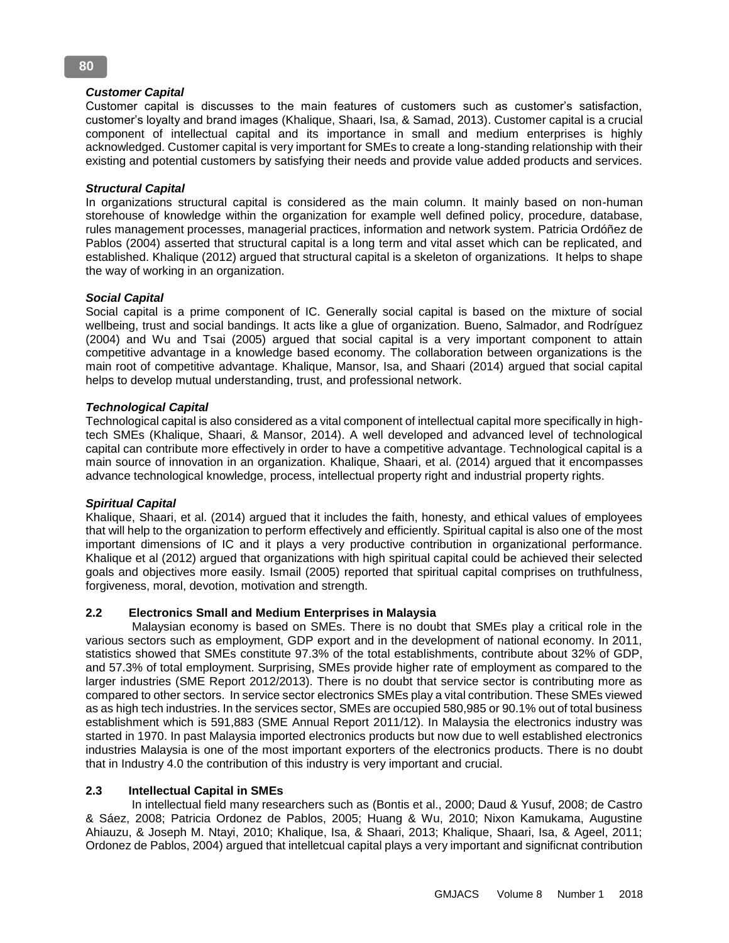## *Customer Capital*

Customer capital is discusses to the main features of customers such as customer's satisfaction, customer's loyalty and brand images (Khalique, Shaari, Isa, & Samad, 2013). Customer capital is a crucial component of intellectual capital and its importance in small and medium enterprises is highly acknowledged. Customer capital is very important for SMEs to create a long-standing relationship with their existing and potential customers by satisfying their needs and provide value added products and services.

## *Structural Capital*

In organizations structural capital is considered as the main column. It mainly based on non-human storehouse of knowledge within the organization for example well defined policy, procedure, database, rules management processes, managerial practices, information and network system. Patricia Ordóñez de Pablos (2004) asserted that structural capital is a long term and vital asset which can be replicated, and established. Khalique (2012) argued that structural capital is a skeleton of organizations. It helps to shape the way of working in an organization.

## *Social Capital*

Social capital is a prime component of IC. Generally social capital is based on the mixture of social wellbeing, trust and social bandings. It acts like a glue of organization. Bueno, Salmador, and Rodríguez (2004) and Wu and Tsai (2005) argued that social capital is a very important component to attain competitive advantage in a knowledge based economy. The collaboration between organizations is the main root of competitive advantage. Khalique, Mansor, Isa, and Shaari (2014) argued that social capital helps to develop mutual understanding, trust, and professional network.

## *Technological Capital*

Technological capital is also considered as a vital component of intellectual capital more specifically in hightech SMEs (Khalique, Shaari, & Mansor, 2014). A well developed and advanced level of technological capital can contribute more effectively in order to have a competitive advantage. Technological capital is a main source of innovation in an organization. Khalique, Shaari, et al. (2014) argued that it encompasses advance technological knowledge, process, intellectual property right and industrial property rights.

## *Spiritual Capital*

Khalique, Shaari, et al. (2014) argued that it includes the faith, honesty, and ethical values of employees that will help to the organization to perform effectively and efficiently. Spiritual capital is also one of the most important dimensions of IC and it plays a very productive contribution in organizational performance. Khalique et al (2012) argued that organizations with high spiritual capital could be achieved their selected goals and objectives more easily. Ismail (2005) reported that spiritual capital comprises on truthfulness, forgiveness, moral, devotion, motivation and strength.

# **2.2 Electronics Small and Medium Enterprises in Malaysia**

 Malaysian economy is based on SMEs. There is no doubt that SMEs play a critical role in the various sectors such as employment, GDP export and in the development of national economy. In 2011, statistics showed that SMEs constitute 97.3% of the total establishments, contribute about 32% of GDP, and 57.3% of total employment. Surprising, SMEs provide higher rate of employment as compared to the larger industries (SME Report 2012/2013). There is no doubt that service sector is contributing more as compared to other sectors. In service sector electronics SMEs play a vital contribution. These SMEs viewed as as high tech industries. In the services sector, SMEs are occupied 580,985 or 90.1% out of total business establishment which is 591,883 (SME Annual Report 2011/12). In Malaysia the electronics industry was started in 1970. In past Malaysia imported electronics products but now due to well established electronics industries Malaysia is one of the most important exporters of the electronics products. There is no doubt that in Industry 4.0 the contribution of this industry is very important and crucial.

## **2.3 Intellectual Capital in SMEs**

 In intellectual field many researchers such as (Bontis et al., 2000; Daud & Yusuf, 2008; de Castro & Sáez, 2008; Patricia Ordonez de Pablos, 2005; Huang & Wu, 2010; Nixon Kamukama, Augustine Ahiauzu, & Joseph M. Ntayi, 2010; Khalique, Isa, & Shaari, 2013; Khalique, Shaari, Isa, & Ageel, 2011; Ordonez de Pablos, 2004) argued that intelletcual capital plays a very important and significnat contribution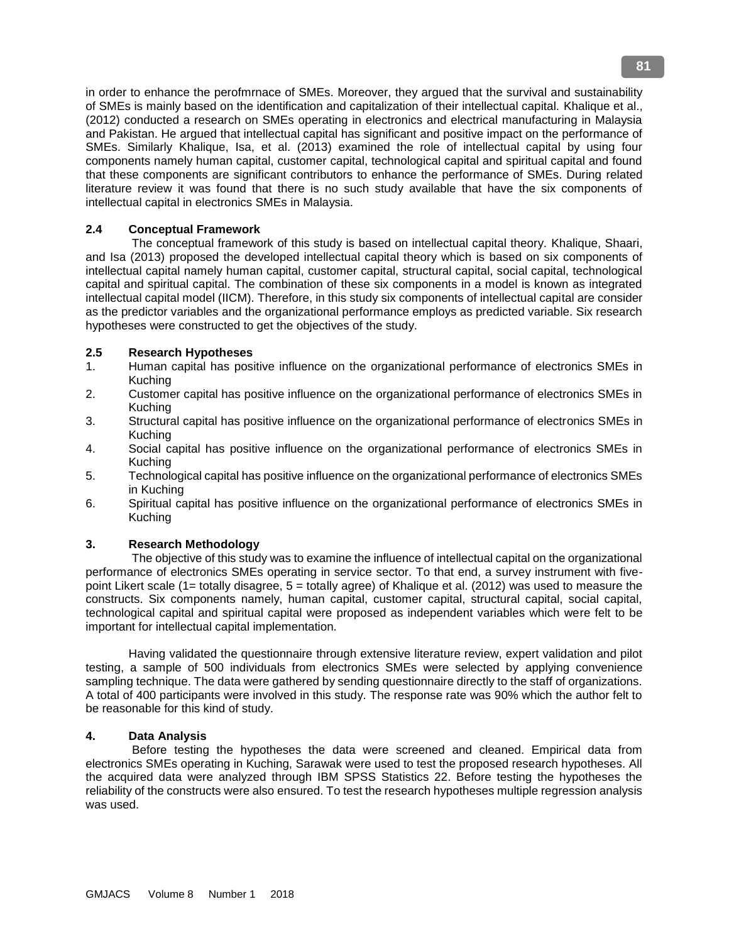in order to enhance the perofmrnace of SMEs. Moreover, they argued that the survival and sustainability of SMEs is mainly based on the identification and capitalization of their intellectual capital. Khalique et al., (2012) conducted a research on SMEs operating in electronics and electrical manufacturing in Malaysia and Pakistan. He argued that intellectual capital has significant and positive impact on the performance of SMEs. Similarly Khalique, Isa, et al. (2013) examined the role of intellectual capital by using four components namely human capital, customer capital, technological capital and spiritual capital and found that these components are significant contributors to enhance the performance of SMEs. During related literature review it was found that there is no such study available that have the six components of intellectual capital in electronics SMEs in Malaysia.

## **2.4 Conceptual Framework**

 The conceptual framework of this study is based on intellectual capital theory. Khalique, Shaari, and Isa (2013) proposed the developed intellectual capital theory which is based on six components of intellectual capital namely human capital, customer capital, structural capital, social capital, technological capital and spiritual capital. The combination of these six components in a model is known as integrated intellectual capital model (IICM). Therefore, in this study six components of intellectual capital are consider as the predictor variables and the organizational performance employs as predicted variable. Six research hypotheses were constructed to get the objectives of the study.

## **2.5 Research Hypotheses**

- 1. Human capital has positive influence on the organizational performance of electronics SMEs in Kuching
- 2. Customer capital has positive influence on the organizational performance of electronics SMEs in Kuching
- 3. Structural capital has positive influence on the organizational performance of electronics SMEs in Kuching
- 4. Social capital has positive influence on the organizational performance of electronics SMEs in Kuching
- 5. Technological capital has positive influence on the organizational performance of electronics SMEs in Kuching
- 6. Spiritual capital has positive influence on the organizational performance of electronics SMEs in Kuching

## **3. Research Methodology**

 The objective of this study was to examine the influence of intellectual capital on the organizational performance of electronics SMEs operating in service sector. To that end, a survey instrument with fivepoint Likert scale (1= totally disagree, 5 = totally agree) of Khalique et al. (2012) was used to measure the constructs. Six components namely, human capital, customer capital, structural capital, social capital, technological capital and spiritual capital were proposed as independent variables which were felt to be important for intellectual capital implementation.

 Having validated the questionnaire through extensive literature review, expert validation and pilot testing, a sample of 500 individuals from electronics SMEs were selected by applying convenience sampling technique. The data were gathered by sending questionnaire directly to the staff of organizations. A total of 400 participants were involved in this study. The response rate was 90% which the author felt to be reasonable for this kind of study.

## **4. Data Analysis**

 Before testing the hypotheses the data were screened and cleaned. Empirical data from electronics SMEs operating in Kuching, Sarawak were used to test the proposed research hypotheses. All the acquired data were analyzed through IBM SPSS Statistics 22. Before testing the hypotheses the reliability of the constructs were also ensured. To test the research hypotheses multiple regression analysis was used.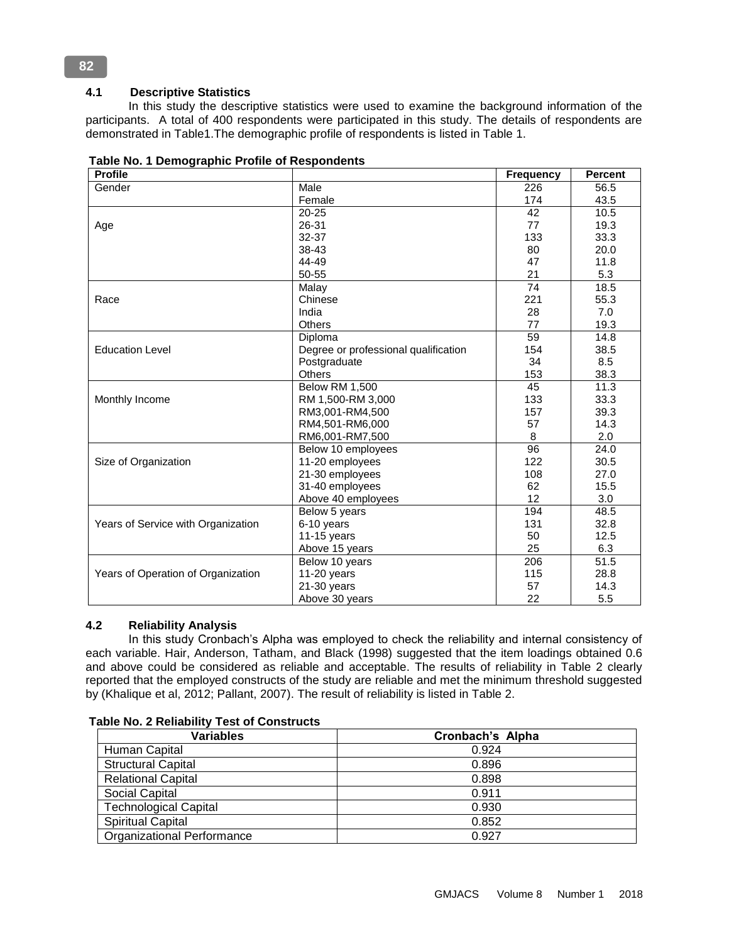# **4.1 Descriptive Statistics**

 In this study the descriptive statistics were used to examine the background information of the participants. A total of 400 respondents were participated in this study. The details of respondents are demonstrated in Table1.The demographic profile of respondents is listed in Table 1.

| <b>Profile</b>                     |                                      | <b>Frequency</b> | <b>Percent</b>    |
|------------------------------------|--------------------------------------|------------------|-------------------|
| Gender                             | Male                                 | 226              | 56.5              |
|                                    | Female                               | 174              | 43.5              |
|                                    | 20-25                                | 42               | 10.5              |
| Age                                | 26-31                                | 77               | 19.3              |
|                                    | 32-37                                | 133              | 33.3              |
|                                    | 38-43                                | 80               | 20.0              |
|                                    | 44-49                                | 47               | 11.8              |
|                                    | 50-55                                | 21               | 5.3               |
|                                    | Malay                                | 74               | 18.5              |
| Race                               | Chinese                              | 221              | 55.3              |
|                                    | India                                | 28               | 7.0               |
|                                    | Others                               | 77               | 19.3              |
|                                    | Diploma                              | 59               | 14.8              |
| <b>Education Level</b>             | Degree or professional qualification | 154              | 38.5              |
|                                    | Postgraduate                         | 34               | 8.5               |
|                                    | Others                               | 153              | 38.3              |
|                                    | <b>Below RM 1,500</b>                | 45               | 11.3              |
| Monthly Income                     | RM 1,500-RM 3,000                    | 133              | 33.3              |
|                                    | RM3,001-RM4,500                      | 157              | 39.3              |
|                                    | RM4,501-RM6,000                      | 57               | 14.3              |
|                                    | RM6,001-RM7,500                      | 8                | 2.0               |
|                                    | Below 10 employees                   | $\overline{96}$  | $\overline{24.0}$ |
| Size of Organization               | 11-20 employees                      | 122              | 30.5              |
|                                    | 21-30 employees                      | 108              | 27.0              |
|                                    | 31-40 employees                      | 62               | 15.5              |
|                                    | Above 40 employees                   | 12               | 3.0               |
|                                    | Below 5 years                        | 194              | 48.5              |
| Years of Service with Organization | 6-10 years                           | 131              | 32.8              |
|                                    | 11-15 years                          | 50               | 12.5              |
|                                    | Above 15 years                       | 25               | 6.3               |
|                                    | Below 10 years                       | 206              | 51.5              |
| Years of Operation of Organization | $11-20$ years                        | 115              | 28.8              |
|                                    | $21-30$ years                        | 57               | 14.3              |
|                                    | Above 30 years                       | 22               | 5.5               |

**Table No. 1 Demographic Profile of Respondents** 

## **4.2 Reliability Analysis**

 In this study Cronbach's Alpha was employed to check the reliability and internal consistency of each variable. Hair, Anderson, Tatham, and Black (1998) suggested that the item loadings obtained 0.6 and above could be considered as reliable and acceptable. The results of reliability in Table 2 clearly reported that the employed constructs of the study are reliable and met the minimum threshold suggested by (Khalique et al, 2012; Pallant, 2007). The result of reliability is listed in Table 2.

| <b>Variables</b>                  | Cronbach's Alpha |
|-----------------------------------|------------------|
| Human Capital                     | 0.924            |
| <b>Structural Capital</b>         | 0.896            |
| <b>Relational Capital</b>         | 0.898            |
| Social Capital                    | 0.911            |
| <b>Technological Capital</b>      | 0.930            |
| <b>Spiritual Capital</b>          | 0.852            |
| <b>Organizational Performance</b> | 0.927            |

**Table No. 2 Reliability Test of Constructs**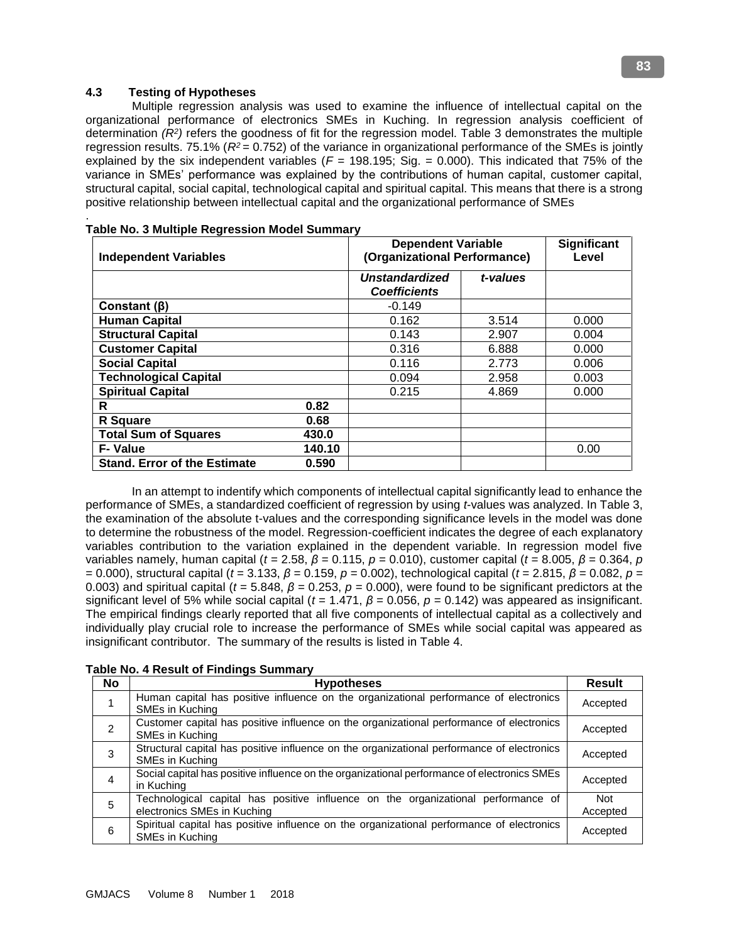## **4.3 Testing of Hypotheses**

 Multiple regression analysis was used to examine the influence of intellectual capital on the organizational performance of electronics SMEs in Kuching. In regression analysis coefficient of determination *(R<sup>2</sup> )* refers the goodness of fit for the regression model. Table 3 demonstrates the multiple regression results. 75.1% (*R<sup>2</sup>* = 0.752) of the variance in organizational performance of the SMEs is jointly explained by the six independent variables  $(F = 198.195; Sig. = 0.000)$ . This indicated that 75% of the variance in SMEs' performance was explained by the contributions of human capital, customer capital, structural capital, social capital, technological capital and spiritual capital. This means that there is a strong positive relationship between intellectual capital and the organizational performance of SMEs

| <b>Independent Variables</b>        | <b>Dependent Variable</b><br>(Organizational Performance) |                                              |          | <b>Significant</b><br>Level |
|-------------------------------------|-----------------------------------------------------------|----------------------------------------------|----------|-----------------------------|
|                                     |                                                           | <b>Unstandardized</b><br><b>Coefficients</b> | t-values |                             |
| Constant $(\beta)$                  |                                                           | $-0.149$                                     |          |                             |
| <b>Human Capital</b>                |                                                           | 0.162                                        | 3.514    | 0.000                       |
| <b>Structural Capital</b>           |                                                           | 0.143                                        | 2.907    | 0.004                       |
| <b>Customer Capital</b>             |                                                           | 0.316                                        | 6.888    | 0.000                       |
| <b>Social Capital</b>               |                                                           | 0.116                                        | 2.773    | 0.006                       |
| <b>Technological Capital</b>        |                                                           | 0.094                                        | 2.958    | 0.003                       |
| <b>Spiritual Capital</b>            |                                                           | 0.215                                        | 4.869    | 0.000                       |
| R                                   | 0.82                                                      |                                              |          |                             |
| R Square                            | 0.68                                                      |                                              |          |                             |
| <b>Total Sum of Squares</b>         | 430.0                                                     |                                              |          |                             |
| <b>F-Value</b>                      | 140.10                                                    |                                              |          | 0.00                        |
| <b>Stand. Error of the Estimate</b> | 0.590                                                     |                                              |          |                             |

|  | <b>Table No. 3 Multiple Regression Model Summary</b> |  |
|--|------------------------------------------------------|--|

 In an attempt to indentify which components of intellectual capital significantly lead to enhance the performance of SMEs, a standardized coefficient of regression by using *t*-values was analyzed. In Table 3, the examination of the absolute t-values and the corresponding significance levels in the model was done to determine the robustness of the model. Regression-coefficient indicates the degree of each explanatory variables contribution to the variation explained in the dependent variable. In regression model five variables namely, human capital (*t* = 2.58, *β* = 0.115, *p* = 0.010), customer capital (*t* = 8.005, *β* = 0.364, *p*  = 0.000), structural capital (*t* = 3.133, *β* = 0.159, *p* = 0.002), technological capital (*t* = 2.815, *β* = 0.082, *p* = 0.003) and spiritual capital ( $t = 5.848$ ,  $\beta = 0.253$ ,  $p = 0.000$ ), were found to be significant predictors at the significant level of 5% while social capital (*t* = 1.471, *β* = 0.056, *p* = 0.142) was appeared as insignificant. The empirical findings clearly reported that all five components of intellectual capital as a collectively and individually play crucial role to increase the performance of SMEs while social capital was appeared as insignificant contributor. The summary of the results is listed in Table 4.

|           | ble No. 4 Result of Findings Summary                                                                             |                 |
|-----------|------------------------------------------------------------------------------------------------------------------|-----------------|
| <b>No</b> | <b>Hypotheses</b>                                                                                                | Result          |
|           | Human capital has positive influence on the organizational performance of electronics<br>SMEs in Kuching         | Accepted        |
| 2         | Customer capital has positive influence on the organizational performance of electronics<br>SMEs in Kuching      | Accepted        |
| 3         | Structural capital has positive influence on the organizational performance of electronics<br>SMEs in Kuching    | Accepted        |
| 4         | Social capital has positive influence on the organizational performance of electronics SMEs<br>in Kuching        | Accepted        |
| 5         | Technological capital has positive influence on the organizational performance of<br>electronics SMEs in Kuching | Not<br>Accepted |
| 6         | Spiritual capital has positive influence on the organizational performance of electronics<br>SMEs in Kuching     | Accepted        |

# **Table No. 4 Result of Findings Summary**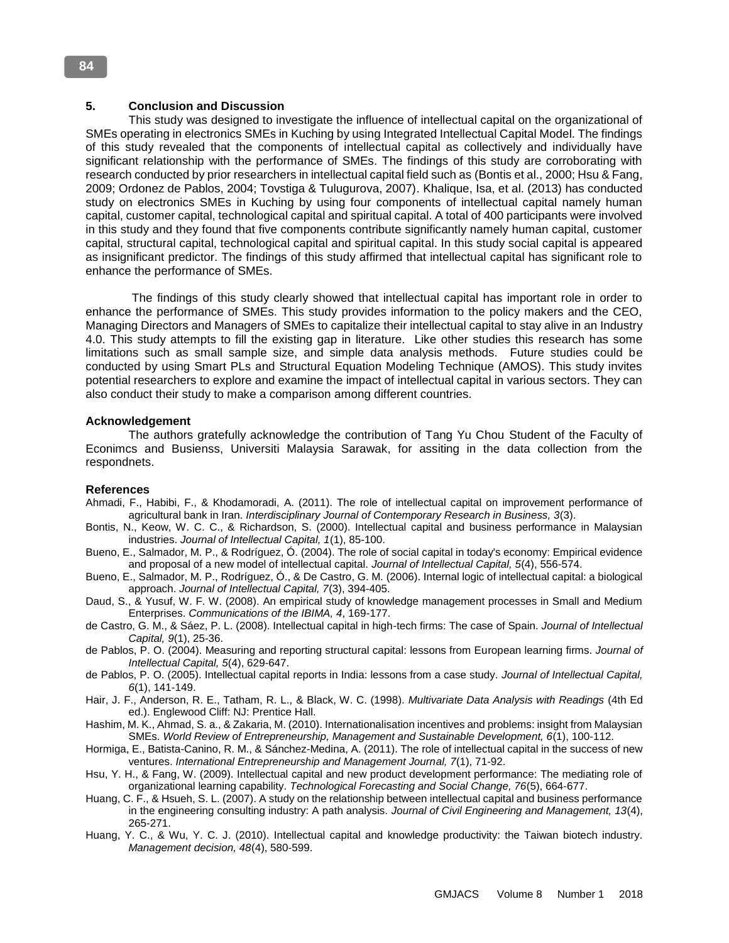#### **5. Conclusion and Discussion**

 This study was designed to investigate the influence of intellectual capital on the organizational of SMEs operating in electronics SMEs in Kuching by using Integrated Intellectual Capital Model. The findings of this study revealed that the components of intellectual capital as collectively and individually have significant relationship with the performance of SMEs. The findings of this study are corroborating with research conducted by prior researchers in intellectual capital field such as (Bontis et al., 2000; Hsu & Fang, 2009; Ordonez de Pablos, 2004; Tovstiga & Tulugurova, 2007). Khalique, Isa, et al. (2013) has conducted study on electronics SMEs in Kuching by using four components of intellectual capital namely human capital, customer capital, technological capital and spiritual capital. A total of 400 participants were involved in this study and they found that five components contribute significantly namely human capital, customer capital, structural capital, technological capital and spiritual capital. In this study social capital is appeared as insignificant predictor. The findings of this study affirmed that intellectual capital has significant role to enhance the performance of SMEs.

 The findings of this study clearly showed that intellectual capital has important role in order to enhance the performance of SMEs. This study provides information to the policy makers and the CEO, Managing Directors and Managers of SMEs to capitalize their intellectual capital to stay alive in an Industry 4.0. This study attempts to fill the existing gap in literature. Like other studies this research has some limitations such as small sample size, and simple data analysis methods. Future studies could be conducted by using Smart PLs and Structural Equation Modeling Technique (AMOS). This study invites potential researchers to explore and examine the impact of intellectual capital in various sectors. They can also conduct their study to make a comparison among different countries.

#### **Acknowledgement**

 The authors gratefully acknowledge the contribution of Tang Yu Chou Student of the Faculty of Econimcs and Busienss, Universiti Malaysia Sarawak, for assiting in the data collection from the respondnets.

#### **References**

- Ahmadi, F., Habibi, F., & Khodamoradi, A. (2011). The role of intellectual capital on improvement performance of agricultural bank in Iran. *Interdisciplinary Journal of Contemporary Research in Business, 3*(3).
- Bontis, N., Keow, W. C. C., & Richardson, S. (2000). Intellectual capital and business performance in Malaysian industries. *Journal of Intellectual Capital, 1*(1), 85-100.
- Bueno, E., Salmador, M. P., & Rodríguez, Ó. (2004). The role of social capital in today's economy: Empirical evidence and proposal of a new model of intellectual capital. *Journal of Intellectual Capital, 5*(4), 556-574.
- Bueno, E., Salmador, M. P., Rodríguez, Ó., & De Castro, G. M. (2006). Internal logic of intellectual capital: a biological approach. *Journal of Intellectual Capital, 7*(3), 394-405.
- Daud, S., & Yusuf, W. F. W. (2008). An empirical study of knowledge management processes in Small and Medium Enterprises. *Communications of the IBIMA, 4*, 169-177.
- de Castro, G. M., & Sáez, P. L. (2008). Intellectual capital in high-tech firms: The case of Spain. *Journal of Intellectual Capital, 9*(1), 25-36.
- de Pablos, P. O. (2004). Measuring and reporting structural capital: lessons from European learning firms. *Journal of Intellectual Capital, 5*(4), 629-647.
- de Pablos, P. O. (2005). Intellectual capital reports in India: lessons from a case study. *Journal of Intellectual Capital, 6*(1), 141-149.
- Hair, J. F., Anderson, R. E., Tatham, R. L., & Black, W. C. (1998). *Multivariate Data Analysis with Readings* (4th Ed ed.). Englewood Cliff: NJ: Prentice Hall.
- Hashim, M. K., Ahmad, S. a., & Zakaria, M. (2010). Internationalisation incentives and problems: insight from Malaysian SMEs. *World Review of Entrepreneurship, Management and Sustainable Development, 6*(1), 100-112.
- Hormiga, E., Batista-Canino, R. M., & Sánchez-Medina, A. (2011). The role of intellectual capital in the success of new ventures. *International Entrepreneurship and Management Journal, 7*(1), 71-92.
- Hsu, Y. H., & Fang, W. (2009). Intellectual capital and new product development performance: The mediating role of organizational learning capability. *Technological Forecasting and Social Change, 76*(5), 664-677.
- Huang, C. F., & Hsueh, S. L. (2007). A study on the relationship between intellectual capital and business performance in the engineering consulting industry: A path analysis. *Journal of Civil Engineering and Management, 13*(4), 265-271.
- Huang, Y. C., & Wu, Y. C. J. (2010). Intellectual capital and knowledge productivity: the Taiwan biotech industry. *Management decision, 48*(4), 580-599.